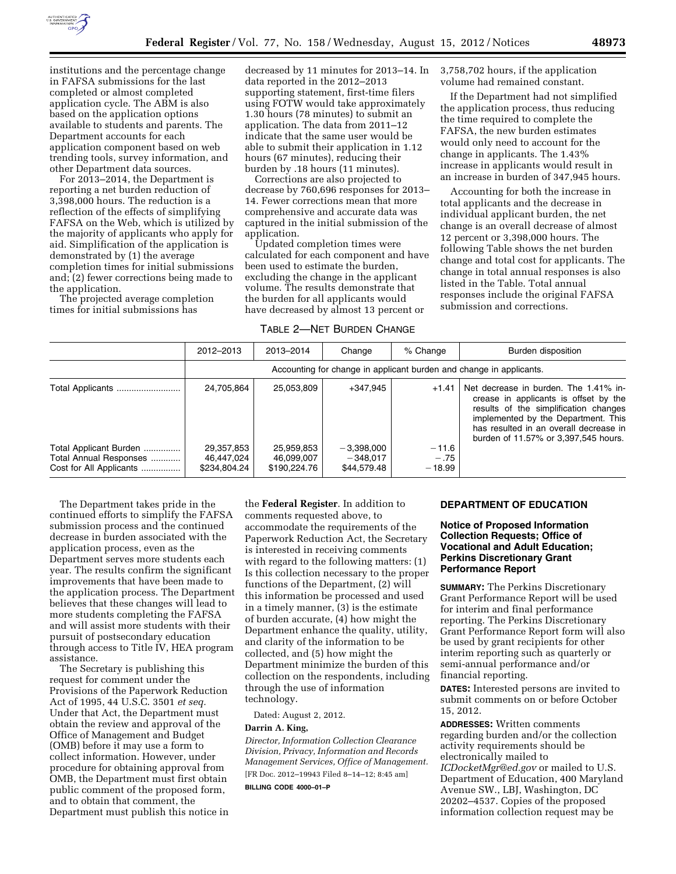

institutions and the percentage change in FAFSA submissions for the last completed or almost completed application cycle. The ABM is also based on the application options available to students and parents. The Department accounts for each application component based on web trending tools, survey information, and other Department data sources.

For 2013–2014, the Department is reporting a net burden reduction of 3,398,000 hours. The reduction is a reflection of the effects of simplifying FAFSA on the Web, which is utilized by the majority of applicants who apply for aid. Simplification of the application is demonstrated by (1) the average completion times for initial submissions and; (2) fewer corrections being made to the application.

The projected average completion times for initial submissions has

decreased by 11 minutes for 2013–14. In data reported in the 2012–2013 supporting statement, first-time filers using FOTW would take approximately 1.30 hours (78 minutes) to submit an application. The data from 2011–12 indicate that the same user would be able to submit their application in 1.12 hours (67 minutes), reducing their burden by .18 hours (11 minutes).

Corrections are also projected to decrease by 760,696 responses for 2013– 14. Fewer corrections mean that more comprehensive and accurate data was captured in the initial submission of the application.

Updated completion times were calculated for each component and have been used to estimate the burden, excluding the change in the applicant volume. The results demonstrate that the burden for all applicants would have decreased by almost 13 percent or

### TABLE 2—NET BURDEN CHANGE

3,758,702 hours, if the application volume had remained constant.

If the Department had not simplified the application process, thus reducing the time required to complete the FAFSA, the new burden estimates would only need to account for the change in applicants. The 1.43% increase in applicants would result in an increase in burden of 347,945 hours.

Accounting for both the increase in total applicants and the decrease in individual applicant burden, the net change is an overall decrease of almost 12 percent or 3,398,000 hours. The following Table shows the net burden change and total cost for applicants. The change in total annual responses is also listed in the Table. Total annual responses include the original FAFSA submission and corrections.

|                                                                             | 2012-2013                                                           | 2013-2014                                | Change                                    | % Change                      | Burden disposition                                                                                                                                                                                                                               |
|-----------------------------------------------------------------------------|---------------------------------------------------------------------|------------------------------------------|-------------------------------------------|-------------------------------|--------------------------------------------------------------------------------------------------------------------------------------------------------------------------------------------------------------------------------------------------|
|                                                                             | Accounting for change in applicant burden and change in applicants. |                                          |                                           |                               |                                                                                                                                                                                                                                                  |
| Total Applicants                                                            | 24.705.864                                                          | 25,053,809                               | $+347.945$                                | $+1.41$                       | Net decrease in burden. The 1.41% in-<br>crease in applicants is offset by the<br>results of the simplification changes<br>implemented by the Department. This<br>has resulted in an overall decrease in<br>burden of 11.57% or 3,397,545 hours. |
| Total Applicant Burden<br>Total Annual Responses<br>Cost for All Applicants | 29,357,853<br>46.447.024<br>\$234,804.24                            | 25,959,853<br>46.099.007<br>\$190.224.76 | $-3,398,000$<br>$-348.017$<br>\$44,579.48 | $-11.6$<br>$-.75$<br>$-18.99$ |                                                                                                                                                                                                                                                  |

The Department takes pride in the continued efforts to simplify the FAFSA submission process and the continued decrease in burden associated with the application process, even as the Department serves more students each year. The results confirm the significant improvements that have been made to the application process. The Department believes that these changes will lead to more students completing the FAFSA and will assist more students with their pursuit of postsecondary education through access to Title IV, HEA program assistance.

The Secretary is publishing this request for comment under the Provisions of the Paperwork Reduction Act of 1995, 44 U.S.C. 3501 *et seq.*  Under that Act, the Department must obtain the review and approval of the Office of Management and Budget (OMB) before it may use a form to collect information. However, under procedure for obtaining approval from OMB, the Department must first obtain public comment of the proposed form, and to obtain that comment, the Department must publish this notice in

the **Federal Register**. In addition to comments requested above, to accommodate the requirements of the Paperwork Reduction Act, the Secretary is interested in receiving comments with regard to the following matters: (1) Is this collection necessary to the proper functions of the Department, (2) will this information be processed and used in a timely manner, (3) is the estimate of burden accurate, (4) how might the Department enhance the quality, utility, and clarity of the information to be collected, and (5) how might the Department minimize the burden of this collection on the respondents, including through the use of information technology.

Dated: August 2, 2012.

#### **Darrin A. King,**

*Director, Information Collection Clearance Division, Privacy, Information and Records Management Services, Office of Management.*  [FR Doc. 2012–19943 Filed 8–14–12; 8:45 am]

**BILLING CODE 4000–01–P** 

# **DEPARTMENT OF EDUCATION**

## **Notice of Proposed Information Collection Requests; Office of Vocational and Adult Education; Perkins Discretionary Grant Performance Report**

**SUMMARY:** The Perkins Discretionary Grant Performance Report will be used for interim and final performance reporting. The Perkins Discretionary Grant Performance Report form will also be used by grant recipients for other interim reporting such as quarterly or semi-annual performance and/or financial reporting.

**DATES:** Interested persons are invited to submit comments on or before October 15, 2012.

**ADDRESSES:** Written comments regarding burden and/or the collection activity requirements should be electronically mailed to *[ICDocketMgr@ed.gov](mailto:ICDocketMgr@ed.gov)* or mailed to U.S. Department of Education, 400 Maryland Avenue SW., LBJ, Washington, DC 20202–4537. Copies of the proposed information collection request may be